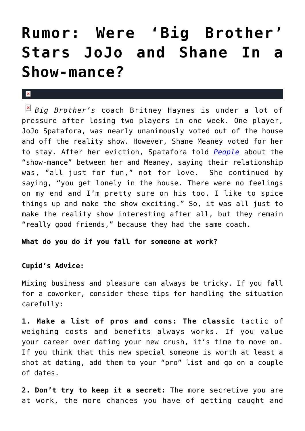## **[Rumor: Were 'Big Brother'](https://cupidspulse.com/35621/rumor-big-brother-stars-jojo-shane-romance/) [Stars JoJo and Shane In a](https://cupidspulse.com/35621/rumor-big-brother-stars-jojo-shane-romance/) [Show-mance?](https://cupidspulse.com/35621/rumor-big-brother-stars-jojo-shane-romance/)**

## $\mathbf{R}$

*Big Brother's* coach Britney Haynes is under a lot of pressure after losing two players in one week. One player, JoJo Spatafora, was nearly unanimously voted out of the house and off the reality show. However, Shane Meaney voted for her to stay. After her eviction, Spatafora told *[People](http://www.people.com/people/article/0,,20616241,00.html)* about the "show-mance" between her and Meaney, saying their relationship was, "all just for fun," not for love. She continued by saying, "you get lonely in the house. There were no feelings on my end and I'm pretty sure on his too. I like to spice things up and make the show exciting." So, it was all just to make the reality show interesting after all, but they remain "really good friends," because they had the same coach.

**What do you do if you fall for someone at work?**

## **Cupid's Advice:**

Mixing business and pleasure can always be tricky. If you fall for a coworker, consider these tips for handling the situation carefully:

**1. Make a list of pros and cons: The classic** tactic of weighing costs and benefits always works. If you value your career over dating your new crush, it's time to move on. If you think that this new special someone is worth at least a shot at dating, add them to your "pro" list and go on a couple of dates.

**2. Don't try to keep it a secret:** The more secretive you are at work, the more chances you have of getting caught and